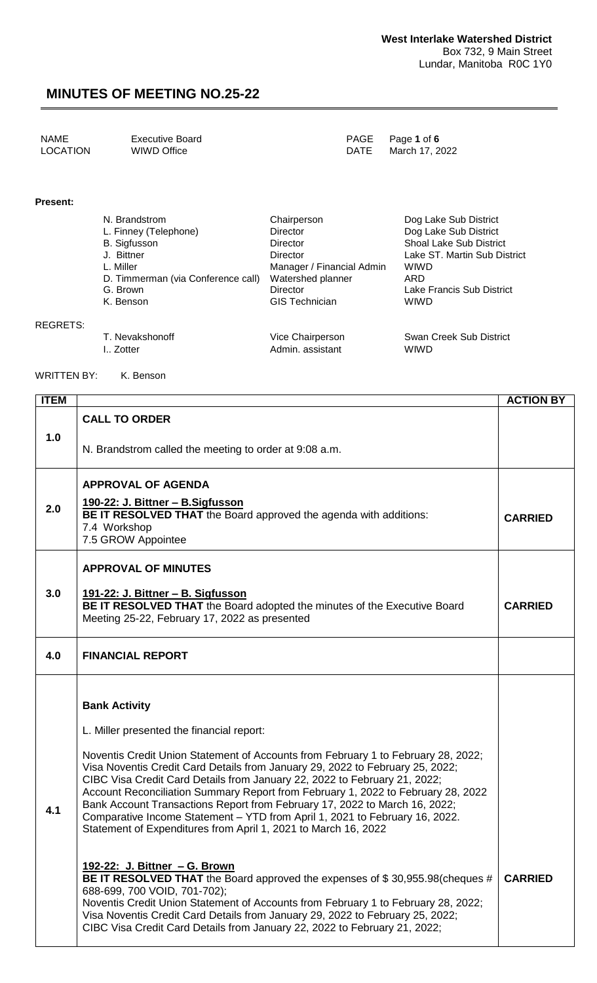| <b>NAME</b>     | <b>Executive Board</b> |             | PAGE Page 1 of 6 |
|-----------------|------------------------|-------------|------------------|
| <b>LOCATION</b> | WIWD Office            | <b>DATE</b> | March 17, 2022   |

#### **Present:**

REGRETS:

| N. Brandstrom                      | Chairperson               | Dog Lake Sub District          |  |
|------------------------------------|---------------------------|--------------------------------|--|
| L. Finney (Telephone)              | <b>Director</b>           | Dog Lake Sub District          |  |
| <b>B.</b> Sigfusson                | <b>Director</b>           | <b>Shoal Lake Sub District</b> |  |
| J. Bittner                         | Director                  | Lake ST. Martin Sub District   |  |
| L. Miller                          | Manager / Financial Admin | <b>WIWD</b>                    |  |
| D. Timmerman (via Conference call) | Watershed planner         | ARD                            |  |
| G. Brown                           | Director                  | Lake Francis Sub District      |  |
| K. Benson                          | <b>GIS Technician</b>     | WIWD                           |  |
| T. Nevakshonoff                    | Vice Chairperson          | Swan Creek Sub District        |  |

I.. Zotter **Admin.** assistant MIWD

WRITTEN BY: K. Benson

| <b>ITEM</b> |                                                                                                                                                                                                                                                                                                                                                                                                                                                                                                                                                                                                                                                                                                                                                                                                                                                                                                                                                                                                                                                     | <b>ACTION BY</b> |
|-------------|-----------------------------------------------------------------------------------------------------------------------------------------------------------------------------------------------------------------------------------------------------------------------------------------------------------------------------------------------------------------------------------------------------------------------------------------------------------------------------------------------------------------------------------------------------------------------------------------------------------------------------------------------------------------------------------------------------------------------------------------------------------------------------------------------------------------------------------------------------------------------------------------------------------------------------------------------------------------------------------------------------------------------------------------------------|------------------|
| 1.0         | <b>CALL TO ORDER</b><br>N. Brandstrom called the meeting to order at 9:08 a.m.                                                                                                                                                                                                                                                                                                                                                                                                                                                                                                                                                                                                                                                                                                                                                                                                                                                                                                                                                                      |                  |
| 2.0         | <b>APPROVAL OF AGENDA</b><br>190-22: J. Bittner - B. Sigfusson<br><b>BE IT RESOLVED THAT</b> the Board approved the agenda with additions:<br>7.4 Workshop<br>7.5 GROW Appointee                                                                                                                                                                                                                                                                                                                                                                                                                                                                                                                                                                                                                                                                                                                                                                                                                                                                    | <b>CARRIED</b>   |
| 3.0         | <b>APPROVAL OF MINUTES</b><br>191-22: J. Bittner - B. Sigfusson<br><b>BE IT RESOLVED THAT</b> the Board adopted the minutes of the Executive Board<br>Meeting 25-22, February 17, 2022 as presented                                                                                                                                                                                                                                                                                                                                                                                                                                                                                                                                                                                                                                                                                                                                                                                                                                                 | <b>CARRIED</b>   |
| 4.0         | <b>FINANCIAL REPORT</b>                                                                                                                                                                                                                                                                                                                                                                                                                                                                                                                                                                                                                                                                                                                                                                                                                                                                                                                                                                                                                             |                  |
| 4.1         | <b>Bank Activity</b><br>L. Miller presented the financial report:<br>Noventis Credit Union Statement of Accounts from February 1 to February 28, 2022;<br>Visa Noventis Credit Card Details from January 29, 2022 to February 25, 2022;<br>CIBC Visa Credit Card Details from January 22, 2022 to February 21, 2022;<br>Account Reconciliation Summary Report from February 1, 2022 to February 28, 2022<br>Bank Account Transactions Report from February 17, 2022 to March 16, 2022;<br>Comparative Income Statement - YTD from April 1, 2021 to February 16, 2022.<br>Statement of Expenditures from April 1, 2021 to March 16, 2022<br><u> 192-22: J. Bittner - G. Brown</u><br>BE IT RESOLVED THAT the Board approved the expenses of \$30,955.98(cheques #<br>688-699, 700 VOID, 701-702);<br>Noventis Credit Union Statement of Accounts from February 1 to February 28, 2022;<br>Visa Noventis Credit Card Details from January 29, 2022 to February 25, 2022;<br>CIBC Visa Credit Card Details from January 22, 2022 to February 21, 2022; | <b>CARRIED</b>   |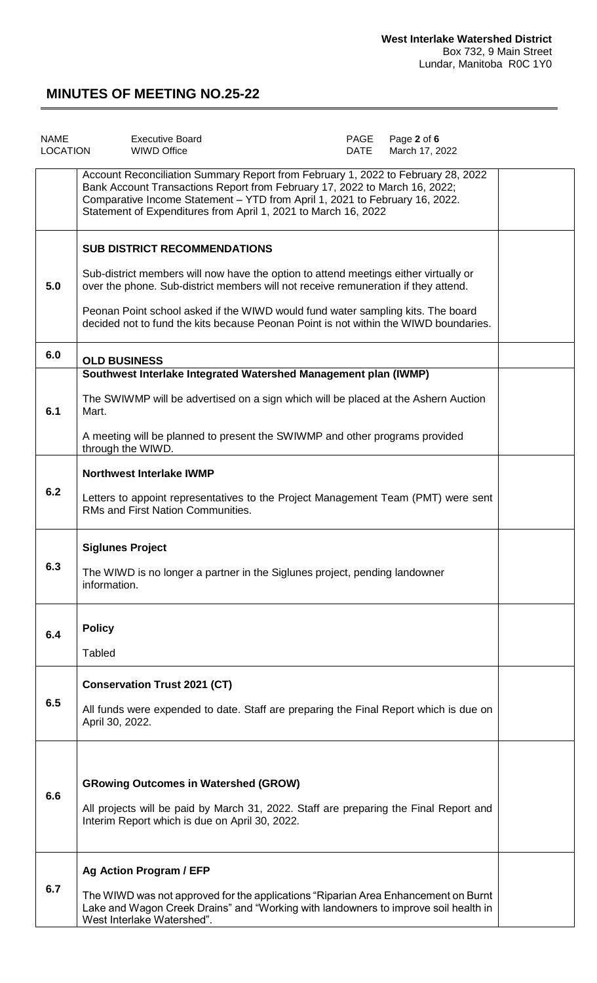| <b>NAME</b><br><b>LOCATION</b> | <b>Executive Board</b><br><b>WIWD Office</b>                                                                                                                                                                                                                                                                    | PAGE<br><b>DATE</b> | Page 2 of 6<br>March 17, 2022 |  |
|--------------------------------|-----------------------------------------------------------------------------------------------------------------------------------------------------------------------------------------------------------------------------------------------------------------------------------------------------------------|---------------------|-------------------------------|--|
|                                | Account Reconciliation Summary Report from February 1, 2022 to February 28, 2022<br>Bank Account Transactions Report from February 17, 2022 to March 16, 2022;<br>Comparative Income Statement - YTD from April 1, 2021 to February 16, 2022.<br>Statement of Expenditures from April 1, 2021 to March 16, 2022 |                     |                               |  |
|                                | <b>SUB DISTRICT RECOMMENDATIONS</b>                                                                                                                                                                                                                                                                             |                     |                               |  |
| 5.0                            | Sub-district members will now have the option to attend meetings either virtually or<br>over the phone. Sub-district members will not receive remuneration if they attend.                                                                                                                                      |                     |                               |  |
|                                | Peonan Point school asked if the WIWD would fund water sampling kits. The board<br>decided not to fund the kits because Peonan Point is not within the WIWD boundaries.                                                                                                                                         |                     |                               |  |
| 6.0                            | <b>OLD BUSINESS</b>                                                                                                                                                                                                                                                                                             |                     |                               |  |
|                                | Southwest Interlake Integrated Watershed Management plan (IWMP)                                                                                                                                                                                                                                                 |                     |                               |  |
| 6.1                            | The SWIWMP will be advertised on a sign which will be placed at the Ashern Auction<br>Mart.                                                                                                                                                                                                                     |                     |                               |  |
|                                | A meeting will be planned to present the SWIWMP and other programs provided<br>through the WIWD.                                                                                                                                                                                                                |                     |                               |  |
|                                | <b>Northwest Interlake IWMP</b>                                                                                                                                                                                                                                                                                 |                     |                               |  |
| 6.2                            | Letters to appoint representatives to the Project Management Team (PMT) were sent<br>RMs and First Nation Communities.                                                                                                                                                                                          |                     |                               |  |
|                                | <b>Siglunes Project</b>                                                                                                                                                                                                                                                                                         |                     |                               |  |
| 6.3                            | The WIWD is no longer a partner in the Siglunes project, pending landowner<br>information.                                                                                                                                                                                                                      |                     |                               |  |
|                                | <b>Policy</b>                                                                                                                                                                                                                                                                                                   |                     |                               |  |
| 6.4                            | <b>Tabled</b>                                                                                                                                                                                                                                                                                                   |                     |                               |  |
|                                | <b>Conservation Trust 2021 (CT)</b>                                                                                                                                                                                                                                                                             |                     |                               |  |
| 6.5                            | All funds were expended to date. Staff are preparing the Final Report which is due on<br>April 30, 2022.                                                                                                                                                                                                        |                     |                               |  |
|                                |                                                                                                                                                                                                                                                                                                                 |                     |                               |  |
| 6.6                            | <b>GRowing Outcomes in Watershed (GROW)</b>                                                                                                                                                                                                                                                                     |                     |                               |  |
|                                | All projects will be paid by March 31, 2022. Staff are preparing the Final Report and<br>Interim Report which is due on April 30, 2022.                                                                                                                                                                         |                     |                               |  |
|                                | Ag Action Program / EFP                                                                                                                                                                                                                                                                                         |                     |                               |  |
| 6.7                            | The WIWD was not approved for the applications "Riparian Area Enhancement on Burnt<br>Lake and Wagon Creek Drains" and "Working with landowners to improve soil health in<br>West Interlake Watershed".                                                                                                         |                     |                               |  |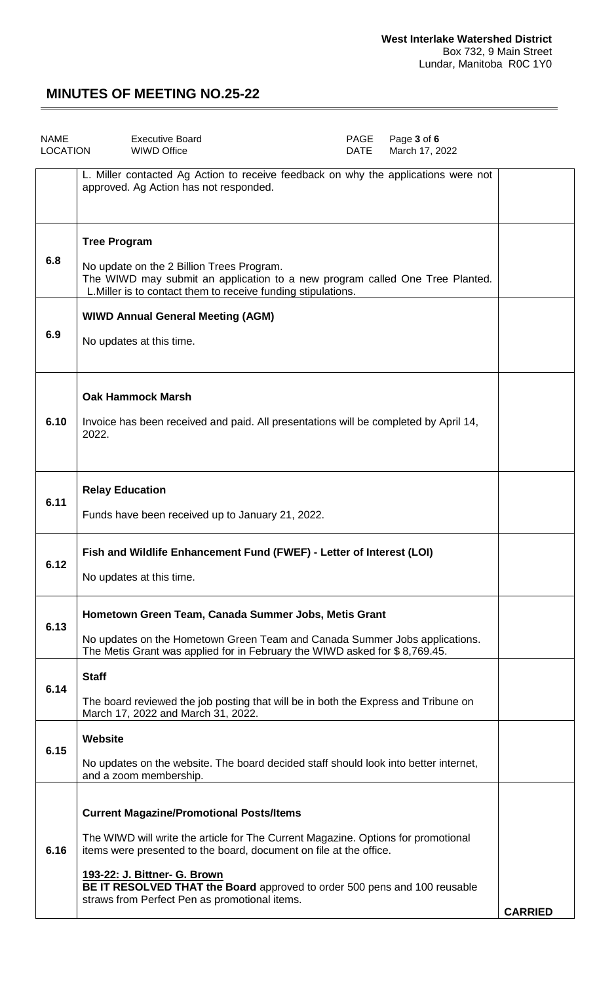| <b>NAME</b><br><b>LOCATION</b> | <b>Executive Board</b><br>PAGE<br>Page 3 of 6<br><b>WIWD Office</b><br><b>DATE</b><br>March 17, 2022                                                                                                                                                                                                                    |                |  |  |
|--------------------------------|-------------------------------------------------------------------------------------------------------------------------------------------------------------------------------------------------------------------------------------------------------------------------------------------------------------------------|----------------|--|--|
|                                | L. Miller contacted Ag Action to receive feedback on why the applications were not<br>approved. Ag Action has not responded.                                                                                                                                                                                            |                |  |  |
| 6.8                            | <b>Tree Program</b><br>No update on the 2 Billion Trees Program.<br>The WIWD may submit an application to a new program called One Tree Planted.<br>L. Miller is to contact them to receive funding stipulations.                                                                                                       |                |  |  |
| 6.9                            | <b>WIWD Annual General Meeting (AGM)</b><br>No updates at this time.                                                                                                                                                                                                                                                    |                |  |  |
| 6.10                           | <b>Oak Hammock Marsh</b><br>Invoice has been received and paid. All presentations will be completed by April 14,<br>2022.                                                                                                                                                                                               |                |  |  |
| 6.11                           | <b>Relay Education</b><br>Funds have been received up to January 21, 2022.                                                                                                                                                                                                                                              |                |  |  |
| 6.12                           | Fish and Wildlife Enhancement Fund (FWEF) - Letter of Interest (LOI)<br>No updates at this time.                                                                                                                                                                                                                        |                |  |  |
| 6.13                           | Hometown Green Team, Canada Summer Jobs, Metis Grant<br>No updates on the Hometown Green Team and Canada Summer Jobs applications.<br>The Metis Grant was applied for in February the WIWD asked for \$8,769.45.                                                                                                        |                |  |  |
| 6.14                           | <b>Staff</b><br>The board reviewed the job posting that will be in both the Express and Tribune on<br>March 17, 2022 and March 31, 2022.                                                                                                                                                                                |                |  |  |
| 6.15                           | <b>Website</b><br>No updates on the website. The board decided staff should look into better internet,<br>and a zoom membership.                                                                                                                                                                                        |                |  |  |
| 6.16                           | <b>Current Magazine/Promotional Posts/Items</b><br>The WIWD will write the article for The Current Magazine. Options for promotional<br>items were presented to the board, document on file at the office.<br>193-22: J. Bittner- G. Brown<br>BE IT RESOLVED THAT the Board approved to order 500 pens and 100 reusable |                |  |  |
|                                | straws from Perfect Pen as promotional items.                                                                                                                                                                                                                                                                           | <b>CARRIED</b> |  |  |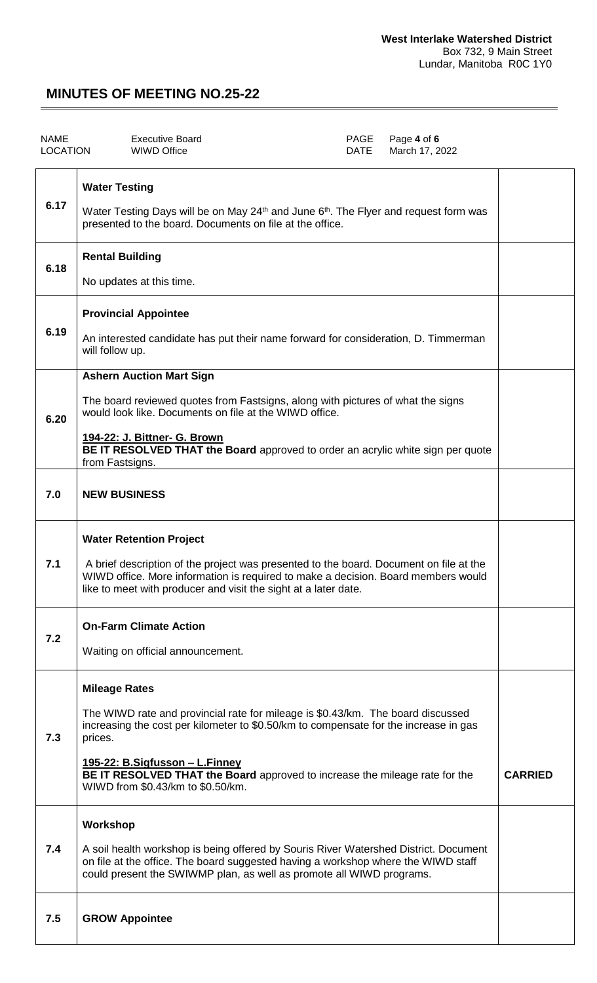| <b>NAME</b><br><b>LOCATION</b> | <b>Executive Board</b><br>PAGE<br>Page 4 of 6<br><b>WIWD Office</b><br><b>DATE</b><br>March 17, 2022                                                                                                                                                                                                                                                                     |                |
|--------------------------------|--------------------------------------------------------------------------------------------------------------------------------------------------------------------------------------------------------------------------------------------------------------------------------------------------------------------------------------------------------------------------|----------------|
| 6.17                           | <b>Water Testing</b><br>Water Testing Days will be on May $24th$ and June 6 <sup>th</sup> . The Flyer and request form was<br>presented to the board. Documents on file at the office.                                                                                                                                                                                   |                |
| 6.18                           | <b>Rental Building</b><br>No updates at this time.                                                                                                                                                                                                                                                                                                                       |                |
| 6.19                           | <b>Provincial Appointee</b><br>An interested candidate has put their name forward for consideration, D. Timmerman<br>will follow up.                                                                                                                                                                                                                                     |                |
| 6.20                           | <b>Ashern Auction Mart Sign</b><br>The board reviewed quotes from Fastsigns, along with pictures of what the signs<br>would look like. Documents on file at the WIWD office.<br>194-22: J. Bittner- G. Brown<br>BE IT RESOLVED THAT the Board approved to order an acrylic white sign per quote<br>from Fastsigns.                                                       |                |
| 7.0                            | <b>NEW BUSINESS</b>                                                                                                                                                                                                                                                                                                                                                      |                |
| 7.1                            | <b>Water Retention Project</b><br>A brief description of the project was presented to the board. Document on file at the<br>WIWD office. More information is required to make a decision. Board members would<br>like to meet with producer and visit the sight at a later date.                                                                                         |                |
| 7.2                            | <b>On-Farm Climate Action</b><br>Waiting on official announcement.                                                                                                                                                                                                                                                                                                       |                |
| 7.3                            | <b>Mileage Rates</b><br>The WIWD rate and provincial rate for mileage is \$0.43/km. The board discussed<br>increasing the cost per kilometer to \$0.50/km to compensate for the increase in gas<br>prices.<br><u> 195-22: B.Sigfusson – L.Finney</u><br>BE IT RESOLVED THAT the Board approved to increase the mileage rate for the<br>WIWD from \$0.43/km to \$0.50/km. | <b>CARRIED</b> |
| 7.4                            | Workshop<br>A soil health workshop is being offered by Souris River Watershed District. Document<br>on file at the office. The board suggested having a workshop where the WIWD staff<br>could present the SWIWMP plan, as well as promote all WIWD programs.                                                                                                            |                |
| 7.5                            | <b>GROW Appointee</b>                                                                                                                                                                                                                                                                                                                                                    |                |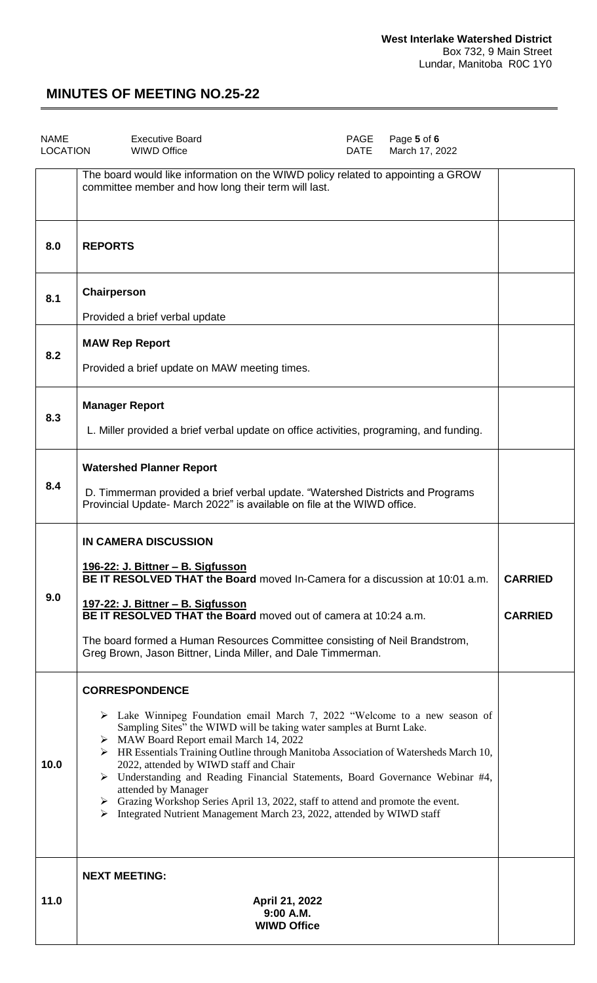| <b>NAME</b><br><b>LOCATION</b> | PAGE<br><b>Executive Board</b><br>Page 5 of 6<br><b>WIWD Office</b><br><b>DATE</b><br>March 17, 2022                                                                                                                                                                                                                                                                                                                                                                                                                                                                                                                                             |                                  |
|--------------------------------|--------------------------------------------------------------------------------------------------------------------------------------------------------------------------------------------------------------------------------------------------------------------------------------------------------------------------------------------------------------------------------------------------------------------------------------------------------------------------------------------------------------------------------------------------------------------------------------------------------------------------------------------------|----------------------------------|
|                                | The board would like information on the WIWD policy related to appointing a GROW<br>committee member and how long their term will last.                                                                                                                                                                                                                                                                                                                                                                                                                                                                                                          |                                  |
| 8.0                            | <b>REPORTS</b>                                                                                                                                                                                                                                                                                                                                                                                                                                                                                                                                                                                                                                   |                                  |
| 8.1                            | Chairperson<br>Provided a brief verbal update                                                                                                                                                                                                                                                                                                                                                                                                                                                                                                                                                                                                    |                                  |
| 8.2                            | <b>MAW Rep Report</b><br>Provided a brief update on MAW meeting times.                                                                                                                                                                                                                                                                                                                                                                                                                                                                                                                                                                           |                                  |
| 8.3                            | <b>Manager Report</b><br>L. Miller provided a brief verbal update on office activities, programing, and funding.                                                                                                                                                                                                                                                                                                                                                                                                                                                                                                                                 |                                  |
| 8.4                            | <b>Watershed Planner Report</b><br>D. Timmerman provided a brief verbal update. "Watershed Districts and Programs<br>Provincial Update- March 2022" is available on file at the WIWD office.                                                                                                                                                                                                                                                                                                                                                                                                                                                     |                                  |
| 9.0                            | <b>IN CAMERA DISCUSSION</b><br><u> 196-22: J. Bittner – B. Sigfusson</u><br><b>BE IT RESOLVED THAT the Board</b> moved In-Camera for a discussion at 10:01 a.m.<br>197-22: J. Bittner - B. Sigfusson<br>BE IT RESOLVED THAT the Board moved out of camera at 10:24 a.m.<br>The board formed a Human Resources Committee consisting of Neil Brandstrom,<br>Greg Brown, Jason Bittner, Linda Miller, and Dale Timmerman.                                                                                                                                                                                                                           | <b>CARRIED</b><br><b>CARRIED</b> |
| 10.0                           | <b>CORRESPONDENCE</b><br>$\triangleright$ Lake Winnipeg Foundation email March 7, 2022 "Welcome to a new season of<br>Sampling Sites" the WIWD will be taking water samples at Burnt Lake.<br>> MAW Board Report email March 14, 2022<br>> HR Essentials Training Outline through Manitoba Association of Watersheds March 10,<br>2022, attended by WIWD staff and Chair<br>> Understanding and Reading Financial Statements, Board Governance Webinar #4,<br>attended by Manager<br>> Grazing Workshop Series April 13, 2022, staff to attend and promote the event.<br>> Integrated Nutrient Management March 23, 2022, attended by WIWD staff |                                  |
| 11.0                           | <b>NEXT MEETING:</b><br>April 21, 2022<br>9:00 A.M.<br><b>WIWD Office</b>                                                                                                                                                                                                                                                                                                                                                                                                                                                                                                                                                                        |                                  |